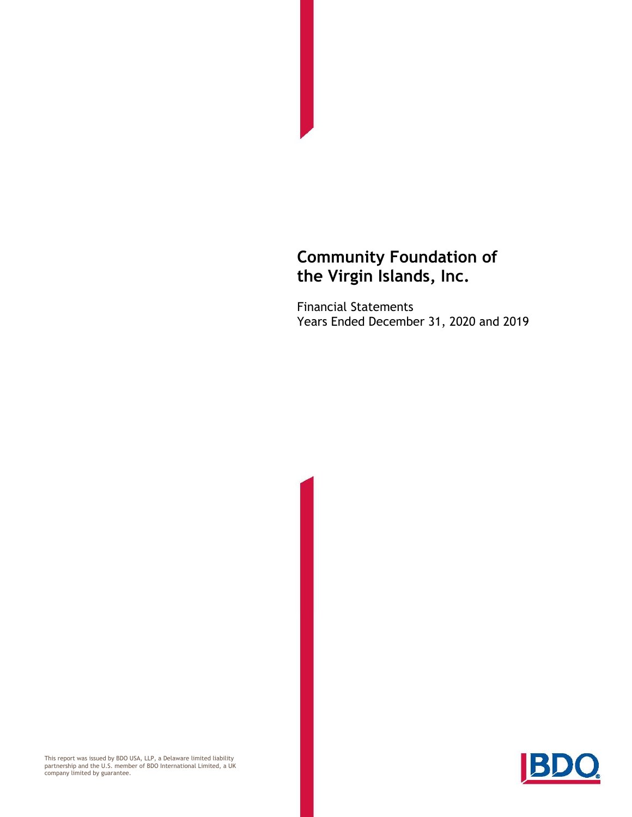# **Community Foundation of the Virgin Islands, Inc.**

Financial Statements Years Ended December 31, 2020 and 2019



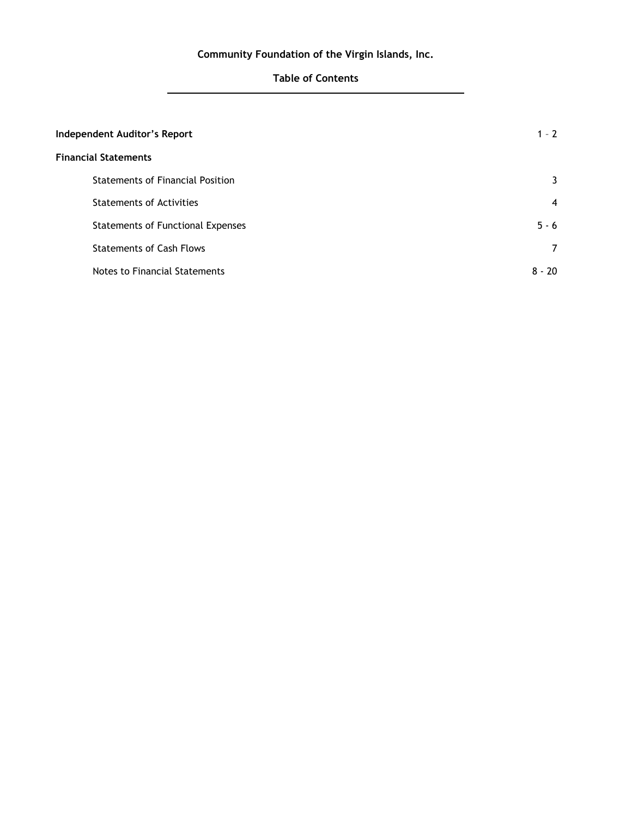# **Community Foundation of the Virgin Islands, Inc.**

# **Table of Contents**

| <b>Independent Auditor's Report</b>     | $1 - 2$        |
|-----------------------------------------|----------------|
| <b>Financial Statements</b>             |                |
| <b>Statements of Financial Position</b> | 3              |
| <b>Statements of Activities</b>         | $\overline{4}$ |
| Statements of Functional Expenses       | $5 - 6$        |
| <b>Statements of Cash Flows</b>         | 7              |
| Notes to Financial Statements           | $8 - 20$       |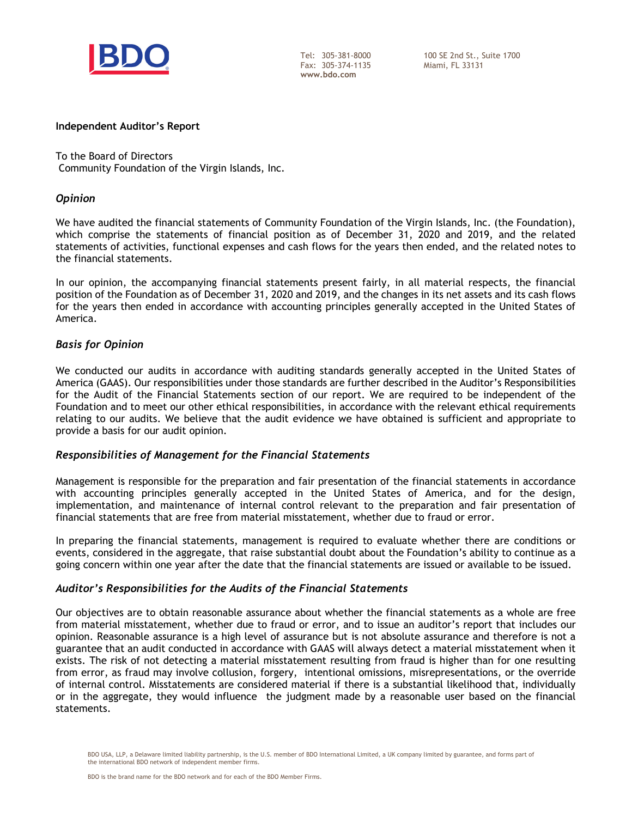

Tel: 305-381-8000 Fax: 305-374-1135 **www.bdo.com** 

100 SE 2nd St., Suite 1700 Miami, FL 33131

#### **Independent Auditor's Report**

To the Board of Directors Community Foundation of the Virgin Islands, Inc.

# *Opinion*

We have audited the financial statements of Community Foundation of the Virgin Islands, Inc. (the Foundation), which comprise the statements of financial position as of December 31, 2020 and 2019, and the related statements of activities, functional expenses and cash flows for the years then ended, and the related notes to the financial statements.

In our opinion, the accompanying financial statements present fairly, in all material respects, the financial position of the Foundation as of December 31, 2020 and 2019, and the changes in its net assets and its cash flows for the years then ended in accordance with accounting principles generally accepted in the United States of America.

# *Basis for Opinion*

We conducted our audits in accordance with auditing standards generally accepted in the United States of America (GAAS). Our responsibilities under those standards are further described in the Auditor's Responsibilities for the Audit of the Financial Statements section of our report. We are required to be independent of the Foundation and to meet our other ethical responsibilities, in accordance with the relevant ethical requirements relating to our audits. We believe that the audit evidence we have obtained is sufficient and appropriate to provide a basis for our audit opinion.

#### *Responsibilities of Management for the Financial Statements*

Management is responsible for the preparation and fair presentation of the financial statements in accordance with accounting principles generally accepted in the United States of America, and for the design, implementation, and maintenance of internal control relevant to the preparation and fair presentation of financial statements that are free from material misstatement, whether due to fraud or error.

In preparing the financial statements, management is required to evaluate whether there are conditions or events, considered in the aggregate, that raise substantial doubt about the Foundation's ability to continue as a going concern within one year after the date that the financial statements are issued or available to be issued.

#### *Auditor's Responsibilities for the Audits of the Financial Statements*

Our objectives are to obtain reasonable assurance about whether the financial statements as a whole are free from material misstatement, whether due to fraud or error, and to issue an auditor's report that includes our opinion. Reasonable assurance is a high level of assurance but is not absolute assurance and therefore is not a guarantee that an audit conducted in accordance with GAAS will always detect a material misstatement when it exists. The risk of not detecting a material misstatement resulting from fraud is higher than for one resulting from error, as fraud may involve collusion, forgery, intentional omissions, misrepresentations, or the override of internal control. Misstatements are considered material if there is a substantial likelihood that, individually or in the aggregate, they would influence the judgment made by a reasonable user based on the financial statements.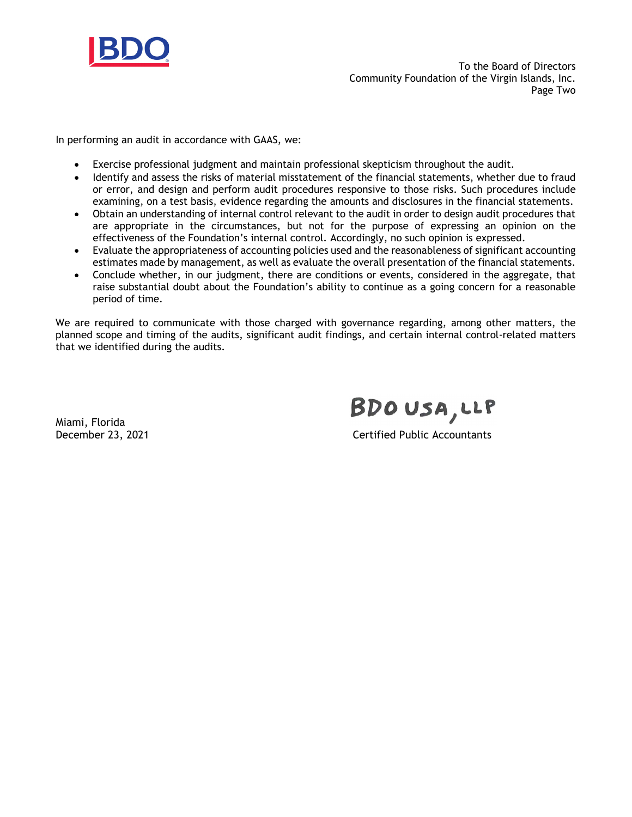

To the Board of Directors Community Foundation of the Virgin Islands, Inc. Page Two

In performing an audit in accordance with GAAS, we:

- Exercise professional judgment and maintain professional skepticism throughout the audit.
- Identify and assess the risks of material misstatement of the financial statements, whether due to fraud or error, and design and perform audit procedures responsive to those risks. Such procedures include examining, on a test basis, evidence regarding the amounts and disclosures in the financial statements.
- Obtain an understanding of internal control relevant to the audit in order to design audit procedures that are appropriate in the circumstances, but not for the purpose of expressing an opinion on the effectiveness of the Foundation's internal control. Accordingly, no such opinion is expressed.
- Evaluate the appropriateness of accounting policies used and the reasonableness of significant accounting estimates made by management, as well as evaluate the overall presentation of the financial statements.
- Conclude whether, in our judgment, there are conditions or events, considered in the aggregate, that raise substantial doubt about the Foundation's ability to continue as a going concern for a reasonable period of time.

We are required to communicate with those charged with governance regarding, among other matters, the planned scope and timing of the audits, significant audit findings, and certain internal control-related matters that we identified during the audits.

Miami, Florida

BDO USA,LLP

December 23, 2021 Certified Public Accountants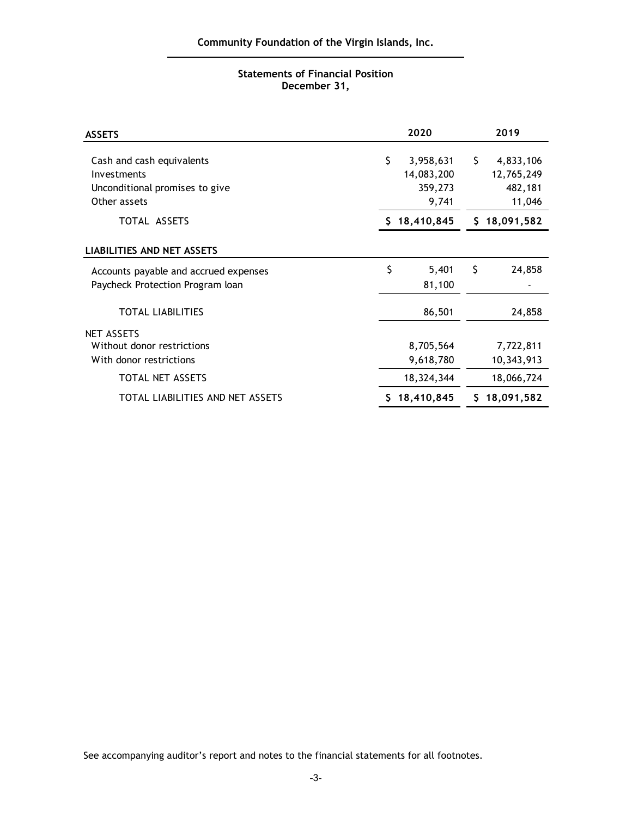# **Statements of Financial Position December 31,**

| <b>ASSETS</b>                                                                                  | 2020                                              | 2019                                               |
|------------------------------------------------------------------------------------------------|---------------------------------------------------|----------------------------------------------------|
| Cash and cash equivalents<br>Investments<br>Unconditional promises to give<br>Other assets     | \$<br>3,958,631<br>14,083,200<br>359,273<br>9,741 | \$<br>4,833,106<br>12,765,249<br>482,181<br>11,046 |
| TOTAL ASSETS                                                                                   | 18,410,845<br>S.                                  | \$18,091,582                                       |
| <b>LIABILITIES AND NET ASSETS</b>                                                              |                                                   |                                                    |
| Accounts payable and accrued expenses<br>Paycheck Protection Program loan                      | \$<br>5,401<br>81,100                             | \$<br>24,858                                       |
| TOTAL LIABILITIES                                                                              | 86,501                                            | 24,858                                             |
| <b>NET ASSETS</b><br>Without donor restrictions<br>With donor restrictions<br>TOTAL NET ASSETS | 8,705,564<br>9,618,780<br>18,324,344              | 7,722,811<br>10,343,913<br>18,066,724              |
| TOTAL LIABILITIES AND NET ASSETS                                                               | 18,410,845<br>S.                                  | 18,091,582                                         |
|                                                                                                |                                                   |                                                    |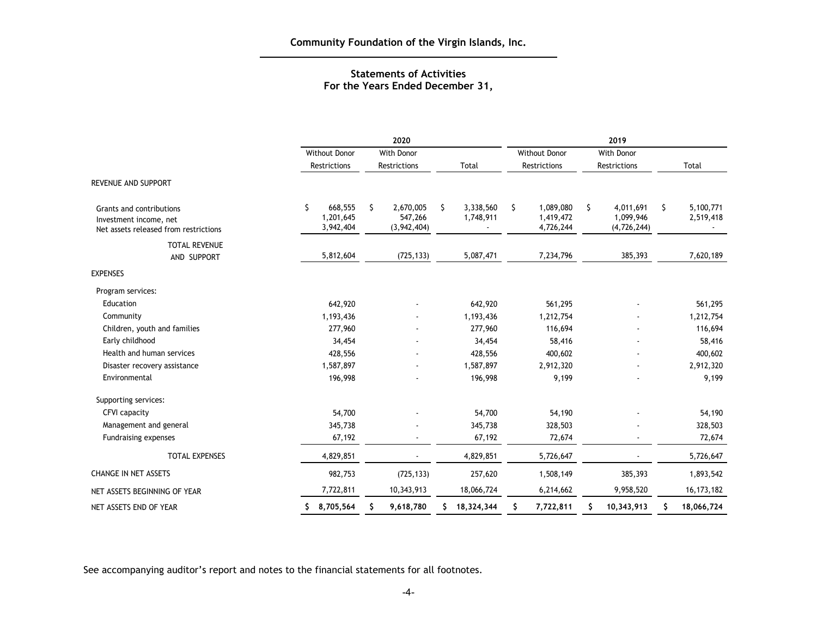#### **Statements of Activities For the Years Ended December 31,**

|                                                                                             |                                         | 2020                                                  |                              |                                            |                                               |                              |  |
|---------------------------------------------------------------------------------------------|-----------------------------------------|-------------------------------------------------------|------------------------------|--------------------------------------------|-----------------------------------------------|------------------------------|--|
|                                                                                             | <b>Without Donor</b>                    | <b>With Donor</b>                                     |                              | <b>Without Donor</b>                       | <b>With Donor</b>                             |                              |  |
|                                                                                             | Restrictions                            | Total<br>Restrictions<br>Restrictions<br>Restrictions |                              |                                            |                                               |                              |  |
| <b>REVENUE AND SUPPORT</b>                                                                  |                                         |                                                       |                              |                                            |                                               |                              |  |
| Grants and contributions<br>Investment income, net<br>Net assets released from restrictions | \$<br>668,555<br>1,201,645<br>3,942,404 | \$<br>2,670,005<br>547,266<br>(3,942,404)             | \$<br>3,338,560<br>1,748,911 | \$.<br>1,089,080<br>1,419,472<br>4,726,244 | \$<br>4,011,691<br>1,099,946<br>(4, 726, 244) | \$<br>5,100,771<br>2,519,418 |  |
| <b>TOTAL REVENUE</b><br>AND SUPPORT                                                         | 5,812,604                               | (725, 133)                                            | 5,087,471                    | 7,234,796                                  | 385,393                                       | 7,620,189                    |  |
| <b>EXPENSES</b>                                                                             |                                         |                                                       |                              |                                            |                                               |                              |  |
| Program services:                                                                           |                                         |                                                       |                              |                                            |                                               |                              |  |
| Education                                                                                   | 642,920                                 |                                                       | 642,920                      | 561,295                                    |                                               | 561,295                      |  |
| Community                                                                                   | 1,193,436                               |                                                       | 1,193,436                    | 1,212,754                                  |                                               | 1,212,754                    |  |
| Children, youth and families                                                                | 277,960                                 |                                                       | 277,960                      | 116,694                                    |                                               | 116,694                      |  |
| Early childhood                                                                             | 34,454                                  |                                                       | 34,454                       | 58,416                                     |                                               | 58,416                       |  |
| Health and human services                                                                   | 428,556                                 |                                                       | 428,556                      | 400,602                                    |                                               | 400,602                      |  |
| Disaster recovery assistance                                                                | 1,587,897                               |                                                       | 1,587,897                    | 2,912,320                                  |                                               | 2,912,320                    |  |
| Environmental                                                                               | 196,998                                 |                                                       | 196,998                      | 9,199                                      |                                               | 9,199                        |  |
| Supporting services:                                                                        |                                         |                                                       |                              |                                            |                                               |                              |  |
| CFVI capacity                                                                               | 54,700                                  |                                                       | 54,700                       | 54,190                                     |                                               | 54,190                       |  |
| Management and general                                                                      | 345,738                                 |                                                       | 345,738                      | 328,503                                    |                                               | 328,503                      |  |
| Fundraising expenses                                                                        | 67,192                                  |                                                       | 67,192                       | 72,674                                     |                                               | 72,674                       |  |
| <b>TOTAL EXPENSES</b>                                                                       | 4,829,851                               |                                                       | 4,829,851                    | 5,726,647                                  |                                               | 5,726,647                    |  |
| CHANGE IN NET ASSETS                                                                        | 982,753                                 | (725, 133)                                            | 257,620                      | 1,508,149                                  | 385,393                                       | 1,893,542                    |  |
| NET ASSETS BEGINNING OF YEAR                                                                | 7,722,811                               | 10,343,913                                            | 18,066,724                   | 6,214,662                                  | 9,958,520                                     | 16, 173, 182                 |  |
| NET ASSETS END OF YEAR                                                                      | 8,705,564<br>S.                         | 9,618,780<br>S                                        | 18,324,344<br>\$             | 7,722,811<br>\$                            | 10,343,913                                    | \$<br>18,066,724             |  |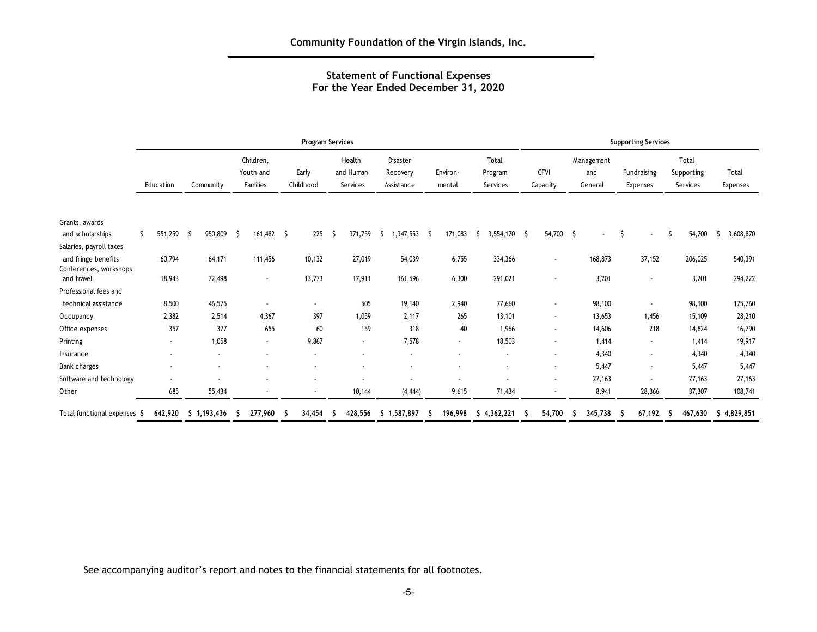#### **Statement of Functional Expenses For the Year Ended December 31, 2020**

|                                      |               |                          |                          |    |                                    |     | <b>Program Services</b> |                                 |    |                                    |    |                    |    |                              |    |                          |      |                              |    | <b>Supporting Services</b> |    |                                 |                   |
|--------------------------------------|---------------|--------------------------|--------------------------|----|------------------------------------|-----|-------------------------|---------------------------------|----|------------------------------------|----|--------------------|----|------------------------------|----|--------------------------|------|------------------------------|----|----------------------------|----|---------------------------------|-------------------|
|                                      | Education     |                          | Community                |    | Children,<br>Youth and<br>Families |     | Early<br>Childhood      | Health<br>and Human<br>Services |    | Disaster<br>Recovery<br>Assistance |    | Environ-<br>mental |    | Total<br>Program<br>Services |    | CFVI<br>Capac ity        |      | Management<br>and<br>General |    | Fundraising<br>Expenses    |    | Total<br>Supporting<br>Services | Total<br>Expenses |
|                                      |               |                          |                          |    |                                    |     |                         |                                 |    |                                    |    |                    |    |                              |    |                          |      |                              |    |                            |    |                                 |                   |
| Grants, awards                       |               |                          |                          |    |                                    |     |                         |                                 |    |                                    |    |                    |    |                              |    |                          |      |                              |    |                            |    |                                 |                   |
| and scholarships                     | 551,259<br>Ŝ. |                          | 950,809                  | -S | 161,482                            | -\$ | 225                     | 371,759                         | S  | 1,347,553                          | -S | 171,083            | S. | 3,554,170 \$                 |    | 54,700                   | - \$ |                              | S  |                            |    | 54,700                          | 3,608,870         |
| Salaries, payroll taxes              |               |                          |                          |    |                                    |     |                         |                                 |    |                                    |    |                    |    |                              |    |                          |      |                              |    |                            |    |                                 |                   |
| and fringe benefits                  | 60,794        |                          | 64,171                   |    | 111,456                            |     | 10,132                  | 27,019                          |    | 54,039                             |    | 6,755              |    | 334,366                      |    |                          |      | 168,873                      |    | 37,152                     |    | 206,025                         | 540,391           |
| Conferences, workshops<br>and travel | 18,943        |                          | 72,498                   |    | $\blacksquare$                     |     | 13,773                  | 17,911                          |    | 161,596                            |    | 6,300              |    | 291,021                      |    |                          |      | 3,201                        |    | $\overline{\phantom{a}}$   |    | 3,201                           | 294,222           |
| Professional fees and                |               |                          |                          |    |                                    |     |                         |                                 |    |                                    |    |                    |    |                              |    |                          |      |                              |    |                            |    |                                 |                   |
| technical assistance                 |               | 8,500                    | 46,575                   |    | $\overline{\phantom{a}}$           |     |                         | 505                             |    | 19,140                             |    | 2,940              |    | 77,660                       |    |                          |      | 98,100                       |    |                            |    | 98,100                          | 175,760           |
| Occupancy                            |               | 2,382                    | 2,514                    |    | 4,367                              |     | 397                     | 1,059                           |    | 2,117                              |    | 265                |    | 13,101                       |    | $\overline{\phantom{a}}$ |      | 13,653                       |    | 1,456                      |    | 15,109                          | 28,210            |
| Office expenses                      |               | 357                      | 377                      |    | 655                                |     | 60                      | 159                             |    | 318                                |    | 40                 |    | 1,966                        |    | $\overline{\phantom{a}}$ |      | 14,606                       |    | 218                        |    | 14,824                          | 16,790            |
| Printing                             |               | $\overline{\phantom{a}}$ | 1,058                    |    | $\blacksquare$                     |     | 9,867                   | $\overline{\phantom{a}}$        |    | 7,578                              |    | $\sim$             |    | 18,503                       |    | $\overline{\phantom{a}}$ |      | 1,414                        |    | $\blacksquare$             |    | 1,414                           | 19,917            |
| Insurance                            |               | $\blacksquare$           | $\overline{\phantom{a}}$ |    | $\overline{\phantom{a}}$           |     |                         | $\blacksquare$                  |    |                                    |    |                    |    |                              |    |                          |      | 4,340                        |    | $\blacksquare$             |    | 4,340                           | 4,340             |
| Bank charges                         |               |                          |                          |    | ٠                                  |     |                         | $\blacksquare$                  |    |                                    |    |                    |    |                              |    |                          |      | 5,447                        |    | $\blacksquare$             |    | 5,447                           | 5,447             |
| Software and technology              |               |                          |                          |    |                                    |     |                         |                                 |    |                                    |    |                    |    |                              |    |                          |      | 27,163                       |    |                            |    | 27,163                          | 27,163            |
| Other                                |               | 685                      | 55,434                   |    |                                    |     |                         | 10,144                          |    | (4, 444)                           |    | 9,615              |    | 71,434                       |    |                          |      | 8,941                        |    | 28,366                     |    | 37,307                          | 108,741           |
| Total functional expenses \$         | 642,920       |                          | 5 1,193,436              | s  | 277,960                            | -S  | 34,454                  | 428,556                         | S. | 1,587,897                          | -S | 196,998            |    | 54,362,221                   | -S | 54,700                   | s    | 345,738                      | -S | 67,192                     | -S | 467,630                         | 4,829,851<br>s    |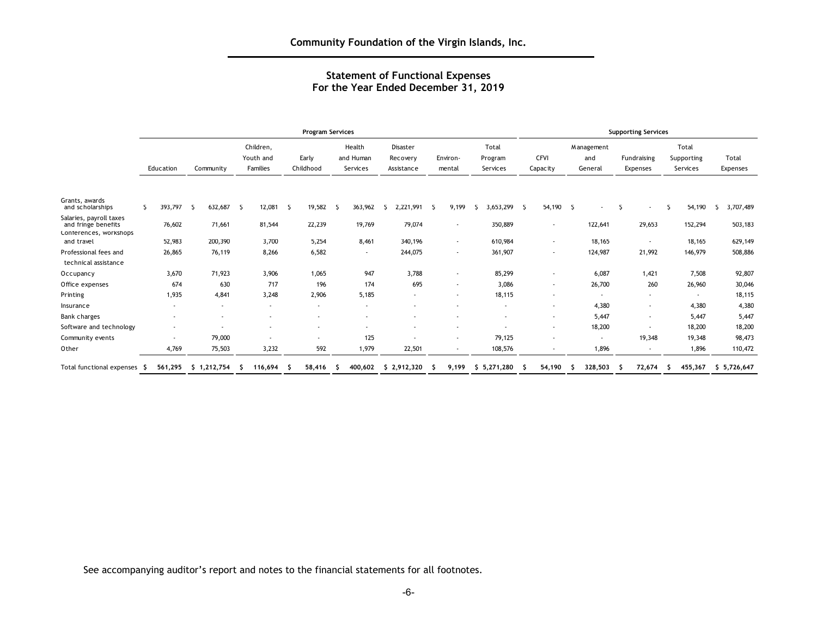#### **Statement of Functional Expenses For the Year Ended December 31, 2019**

|                                                | <b>Program Services</b> |                          |    |                          |    |                                    |     |                    |     |                                 | <b>Supporting Services</b>         |     |                          |    |                              |  |                          |   |                              |    |                          |              |                                 |   |                   |
|------------------------------------------------|-------------------------|--------------------------|----|--------------------------|----|------------------------------------|-----|--------------------|-----|---------------------------------|------------------------------------|-----|--------------------------|----|------------------------------|--|--------------------------|---|------------------------------|----|--------------------------|--------------|---------------------------------|---|-------------------|
|                                                |                         | Education                |    | Community                |    | Children,<br>Youth and<br>Families |     | Early<br>Childhood |     | Health<br>and Human<br>Services | Disaster<br>Recovery<br>Assistance |     | Environ-<br>mental       |    | Total<br>Program<br>Services |  | <b>CFVI</b><br>Capac ity |   | Management<br>and<br>General |    | Fundraising<br>Expenses  |              | Total<br>Supporting<br>Services |   | Total<br>Expenses |
| Grants, awards<br>and scholarships             | S                       | 393,797                  | -S | 632,687                  | -S | 12,081                             | - S | 19,582             | - S | 363,962                         | ,221,991<br>-S                     | - S | 9,199                    | -S | 3,653,299 \$                 |  | 54,190 \$                |   | $\blacksquare$               | -S | $\overline{\phantom{a}}$ | <sub>S</sub> | 54,190                          | S | 3,707,489         |
| Salaries, payroll taxes<br>and fringe benefits |                         | 76,602                   |    | 71,661                   |    | 81,544                             |     | 22,239             |     | 19,769                          | 79,074                             |     | ٠                        |    | 350,889                      |  | $\overline{\phantom{a}}$ |   | 122,641                      |    | 29,653                   |              | 152,294                         |   | 503,183           |
| Conferences, workshops<br>and travel           |                         | 52,983                   |    | 200,390                  |    | 3,700                              |     | 5,254              |     | 8,461                           | 340,196                            |     | $\overline{\phantom{a}}$ |    | 610,984                      |  | $\overline{\phantom{a}}$ |   | 18,165                       |    | $\overline{\phantom{a}}$ |              | 18,165                          |   | 629,149           |
| Professional fees and<br>technical assistance  |                         | 26,865                   |    | 76,119                   |    | 8,266                              |     | 6,582              |     | $\sim$                          | 244,075                            |     | $\overline{\phantom{a}}$ |    | 361,907                      |  | $\overline{\phantom{a}}$ |   | 124,987                      |    | 21,992                   |              | 146,979                         |   | 508,886           |
| Occupancy                                      |                         | 3,670                    |    | 71,923                   |    | 3,906                              |     | 1,065              |     | 947                             | 3,788                              |     | $\overline{\phantom{a}}$ |    | 85,299                       |  | $\overline{\phantom{a}}$ |   | 6,087                        |    | 1,421                    |              | 7,508                           |   | 92,807            |
| Office expenses                                |                         | 674                      |    | 630                      |    | 717                                |     | 196                |     | 174                             | 695                                |     | $\overline{\phantom{a}}$ |    | 3,086                        |  | $\overline{\phantom{a}}$ |   | 26,700                       |    | 260                      |              | 26,960                          |   | 30,046            |
| Printing                                       |                         | 1,935                    |    | 4,841                    |    | 3,248                              |     | 2,906              |     | 5,185                           | $\sim$                             |     | $\overline{\phantom{a}}$ |    | 18,115                       |  | $\sim$                   |   | $\overline{\phantom{a}}$     |    | $\overline{\phantom{a}}$ |              | $\sim$                          |   | 18,115            |
| Insurance                                      |                         | $\overline{\phantom{a}}$ |    | ٠                        |    | $\overline{\phantom{a}}$           |     |                    |     | ٠                               |                                    |     |                          |    |                              |  |                          |   | 4,380                        |    |                          |              | 4,380                           |   | 4,380             |
| Bank charges                                   |                         | $\blacksquare$           |    | $\overline{\phantom{a}}$ |    |                                    |     |                    |     |                                 |                                    |     |                          |    | $\overline{\phantom{a}}$     |  | $\overline{\phantom{a}}$ |   | 5,447                        |    | $\overline{\phantom{a}}$ |              | 5,447                           |   | 5,447             |
| Software and technology                        |                         | $\overline{\phantom{a}}$ |    |                          |    | $\overline{\phantom{a}}$           |     |                    |     | $\blacksquare$                  | ٠                                  |     | $\overline{\phantom{a}}$ |    |                              |  | $\overline{\phantom{a}}$ |   | 18,200                       |    | $\overline{\phantom{a}}$ |              | 18,200                          |   | 18,200            |
| Community events                               |                         | $\overline{\phantom{a}}$ |    | 79,000                   |    |                                    |     |                    |     | 125                             |                                    |     | ٠                        |    | 79,125                       |  | $\overline{\phantom{a}}$ |   | $\blacksquare$               |    | 19,348                   |              | 19,348                          |   | 98,473            |
| Other                                          |                         | 4,769                    |    | 75,503                   |    | 3,232                              |     | 592                |     | 1,979                           | 22,501                             |     | $\overline{\phantom{a}}$ |    | 108,576                      |  |                          |   | 1,896                        |    | $\overline{\phantom{a}}$ |              | 1,896                           |   | 110,472           |
| Total functional expenses                      |                         | 561,295                  |    | 5 1,212,754              | s  | 116.694                            |     | 58,416             |     | 400,602                         | 2,912,320<br>S.                    | -S  | 9,199                    | S. | 5,271,280                    |  | 54,190                   | s | 328,503                      |    | 72,674                   |              | 455,367                         | s | 5,726,647         |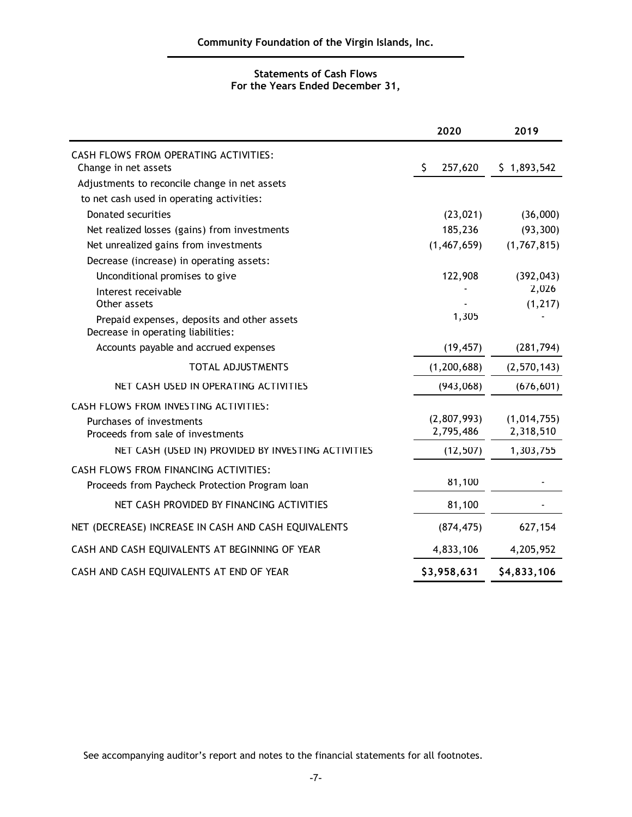# **Statements of Cash Flows For the Years Ended December 31,**

|                                                                                   | 2020          | 2019          |
|-----------------------------------------------------------------------------------|---------------|---------------|
| CASH FLOWS FROM OPERATING ACTIVITIES:<br>Change in net assets                     | \$<br>257,620 | \$1,893,542   |
| Adjustments to reconcile change in net assets                                     |               |               |
| to net cash used in operating activities:                                         |               |               |
| <b>Donated securities</b>                                                         | (23, 021)     | (36,000)      |
| Net realized losses (gains) from investments                                      | 185,236       | (93, 300)     |
| Net unrealized gains from investments                                             | (1,467,659)   | (1,767,815)   |
| Decrease (increase) in operating assets:                                          |               |               |
| Unconditional promises to give                                                    | 122,908       | (392, 043)    |
| Interest receivable                                                               |               | 2,026         |
| Other assets                                                                      | 1,305         | (1, 217)      |
| Prepaid expenses, deposits and other assets<br>Decrease in operating liabilities: |               |               |
| Accounts payable and accrued expenses                                             | (19, 457)     | (281, 794)    |
| <b>TOTAL ADJUSTMENTS</b>                                                          | (1, 200, 688) | (2, 570, 143) |
| NET CASH USED IN OPERATING ACTIVITIES                                             | (943,068)     | (676, 601)    |
| CASH FLOWS FROM INVESTING ACTIVITIES:                                             |               |               |
| Purchases of investments                                                          | (2,807,993)   | (1,014,755)   |
| Proceeds from sale of investments                                                 | 2,795,486     | 2,318,510     |
| NET CASH (USED IN) PROVIDED BY INVESTING ACTIVITIES                               | (12, 507)     | 1,303,755     |
| CASH FLOWS FROM FINANCING ACTIVITIES:                                             |               |               |
| Proceeds from Paycheck Protection Program loan                                    | 81,100        |               |
| NET CASH PROVIDED BY FINANCING ACTIVITIES                                         | 81,100        |               |
| NET (DECREASE) INCREASE IN CASH AND CASH EQUIVALENTS                              | (874, 475)    | 627,154       |
| CASH AND CASH EQUIVALENTS AT BEGINNING OF YEAR                                    | 4,833,106     | 4,205,952     |
| CASH AND CASH EQUIVALENTS AT END OF YEAR                                          | \$3,958,631   | \$4,833,106   |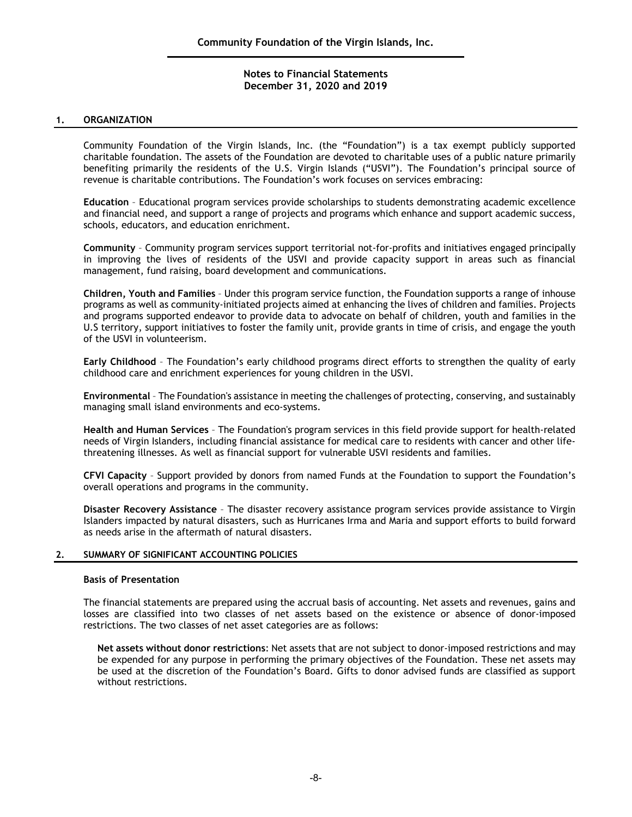# **1. ORGANIZATION**

Community Foundation of the Virgin Islands, Inc. (the "Foundation") is a tax exempt publicly supported charitable foundation. The assets of the Foundation are devoted to charitable uses of a public nature primarily benefiting primarily the residents of the U.S. Virgin Islands ("USVI"). The Foundation's principal source of revenue is charitable contributions. The Foundation's work focuses on services embracing:

**Education** – Educational program services provide scholarships to students demonstrating academic excellence and financial need, and support a range of projects and programs which enhance and support academic success, schools, educators, and education enrichment.

**Community** – Community program services support territorial not-for-profits and initiatives engaged principally in improving the lives of residents of the USVI and provide capacity support in areas such as financial management, fund raising, board development and communications.

**Children, Youth and Families** – Under this program service function, the Foundation supports a range of inhouse programs as well as community-initiated projects aimed at enhancing the lives of children and families. Projects and programs supported endeavor to provide data to advocate on behalf of children, youth and families in the U.S territory, support initiatives to foster the family unit, provide grants in time of crisis, and engage the youth of the USVI in volunteerism.

**Early Childhood** – The Foundation's early childhood programs direct efforts to strengthen the quality of early childhood care and enrichment experiences for young children in the USVI.

**Environmental** – The Foundation's assistance in meeting the challenges of protecting, conserving, and sustainably managing small island environments and eco-systems.

**Health and Human Services** – The Foundation's program services in this field provide support for health-related needs of Virgin Islanders, including financial assistance for medical care to residents with cancer and other lifethreatening illnesses. As well as financial support for vulnerable USVI residents and families.

**CFVI Capacity** – Support provided by donors from named Funds at the Foundation to support the Foundation's overall operations and programs in the community.

**Disaster Recovery Assistance** – The disaster recovery assistance program services provide assistance to Virgin Islanders impacted by natural disasters, such as Hurricanes Irma and Maria and support efforts to build forward as needs arise in the aftermath of natural disasters.

# **2. SUMMARY OF SIGNIFICANT ACCOUNTING POLICIES**

#### **Basis of Presentation**

The financial statements are prepared using the accrual basis of accounting. Net assets and revenues, gains and losses are classified into two classes of net assets based on the existence or absence of donor-imposed restrictions. The two classes of net asset categories are as follows:

**Net assets without donor restrictions**: Net assets that are not subject to donor-imposed restrictions and may be expended for any purpose in performing the primary objectives of the Foundation. These net assets may be used at the discretion of the Foundation's Board. Gifts to donor advised funds are classified as support without restrictions.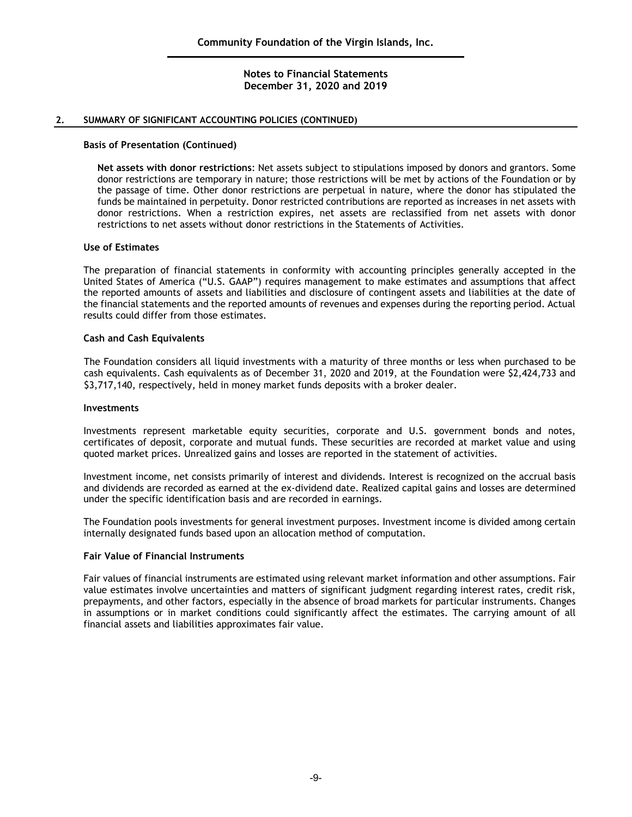# **2. SUMMARY OF SIGNIFICANT ACCOUNTING POLICIES (CONTINUED)**

#### **Basis of Presentation (Continued)**

**Net assets with donor restrictions**: Net assets subject to stipulations imposed by donors and grantors. Some donor restrictions are temporary in nature; those restrictions will be met by actions of the Foundation or by the passage of time. Other donor restrictions are perpetual in nature, where the donor has stipulated the funds be maintained in perpetuity. Donor restricted contributions are reported as increases in net assets with donor restrictions. When a restriction expires, net assets are reclassified from net assets with donor restrictions to net assets without donor restrictions in the Statements of Activities.

#### **Use of Estimates**

The preparation of financial statements in conformity with accounting principles generally accepted in the United States of America ("U.S. GAAP") requires management to make estimates and assumptions that affect the reported amounts of assets and liabilities and disclosure of contingent assets and liabilities at the date of the financial statements and the reported amounts of revenues and expenses during the reporting period. Actual results could differ from those estimates.

#### **Cash and Cash Equivalents**

The Foundation considers all liquid investments with a maturity of three months or less when purchased to be cash equivalents. Cash equivalents as of December 31, 2020 and 2019, at the Foundation were \$2,424,733 and \$3,717,140, respectively, held in money market funds deposits with a broker dealer.

#### **Investments**

Investments represent marketable equity securities, corporate and U.S. government bonds and notes, certificates of deposit, corporate and mutual funds. These securities are recorded at market value and using quoted market prices. Unrealized gains and losses are reported in the statement of activities.

Investment income, net consists primarily of interest and dividends. Interest is recognized on the accrual basis and dividends are recorded as earned at the ex-dividend date. Realized capital gains and losses are determined under the specific identification basis and are recorded in earnings.

The Foundation pools investments for general investment purposes. Investment income is divided among certain internally designated funds based upon an allocation method of computation.

#### **Fair Value of Financial Instruments**

Fair values of financial instruments are estimated using relevant market information and other assumptions. Fair value estimates involve uncertainties and matters of significant judgment regarding interest rates, credit risk, prepayments, and other factors, especially in the absence of broad markets for particular instruments. Changes in assumptions or in market conditions could significantly affect the estimates. The carrying amount of all financial assets and liabilities approximates fair value.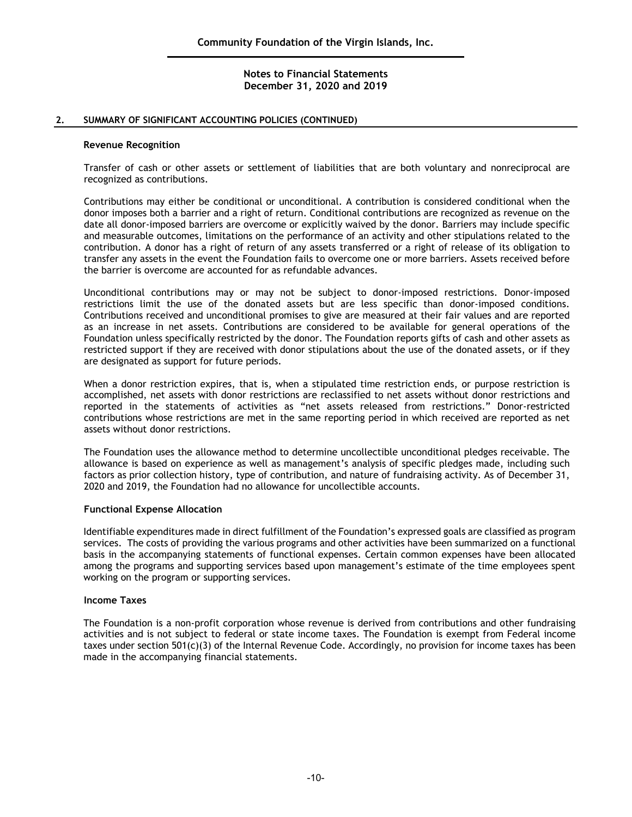# **2. SUMMARY OF SIGNIFICANT ACCOUNTING POLICIES (CONTINUED)**

#### **Revenue Recognition**

Transfer of cash or other assets or settlement of liabilities that are both voluntary and nonreciprocal are recognized as contributions.

Contributions may either be conditional or unconditional. A contribution is considered conditional when the donor imposes both a barrier and a right of return. Conditional contributions are recognized as revenue on the date all donor-imposed barriers are overcome or explicitly waived by the donor. Barriers may include specific and measurable outcomes, limitations on the performance of an activity and other stipulations related to the contribution. A donor has a right of return of any assets transferred or a right of release of its obligation to transfer any assets in the event the Foundation fails to overcome one or more barriers. Assets received before the barrier is overcome are accounted for as refundable advances.

Unconditional contributions may or may not be subject to donor-imposed restrictions. Donor-imposed restrictions limit the use of the donated assets but are less specific than donor-imposed conditions. Contributions received and unconditional promises to give are measured at their fair values and are reported as an increase in net assets. Contributions are considered to be available for general operations of the Foundation unless specifically restricted by the donor. The Foundation reports gifts of cash and other assets as restricted support if they are received with donor stipulations about the use of the donated assets, or if they are designated as support for future periods.

When a donor restriction expires, that is, when a stipulated time restriction ends, or purpose restriction is accomplished, net assets with donor restrictions are reclassified to net assets without donor restrictions and reported in the statements of activities as "net assets released from restrictions." Donor-restricted contributions whose restrictions are met in the same reporting period in which received are reported as net assets without donor restrictions.

The Foundation uses the allowance method to determine uncollectible unconditional pledges receivable. The allowance is based on experience as well as management's analysis of specific pledges made, including such factors as prior collection history, type of contribution, and nature of fundraising activity. As of December 31, 2020 and 2019, the Foundation had no allowance for uncollectible accounts.

#### **Functional Expense Allocation**

Identifiable expenditures made in direct fulfillment of the Foundation's expressed goals are classified as program services. The costs of providing the various programs and other activities have been summarized on a functional basis in the accompanying statements of functional expenses. Certain common expenses have been allocated among the programs and supporting services based upon management's estimate of the time employees spent working on the program or supporting services.

#### **Income Taxes**

The Foundation is a non-profit corporation whose revenue is derived from contributions and other fundraising activities and is not subject to federal or state income taxes. The Foundation is exempt from Federal income taxes under section 501(c)(3) of the Internal Revenue Code. Accordingly, no provision for income taxes has been made in the accompanying financial statements.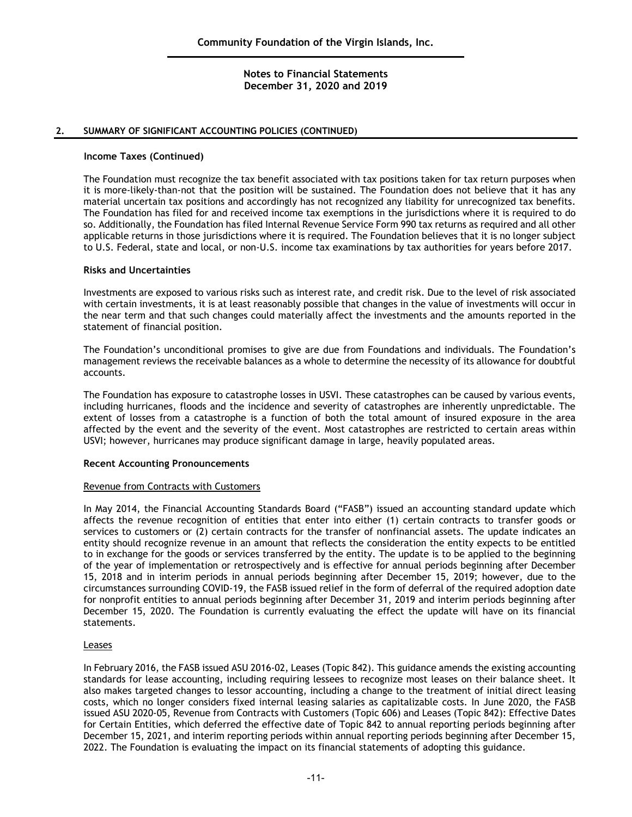# **2. SUMMARY OF SIGNIFICANT ACCOUNTING POLICIES (CONTINUED)**

#### **Income Taxes (Continued)**

The Foundation must recognize the tax benefit associated with tax positions taken for tax return purposes when it is more-likely-than-not that the position will be sustained. The Foundation does not believe that it has any material uncertain tax positions and accordingly has not recognized any liability for unrecognized tax benefits. The Foundation has filed for and received income tax exemptions in the jurisdictions where it is required to do so. Additionally, the Foundation has filed Internal Revenue Service Form 990 tax returns as required and all other applicable returns in those jurisdictions where it is required. The Foundation believes that it is no longer subject to U.S. Federal, state and local, or non-U.S. income tax examinations by tax authorities for years before 2017.

#### **Risks and Uncertainties**

Investments are exposed to various risks such as interest rate, and credit risk. Due to the level of risk associated with certain investments, it is at least reasonably possible that changes in the value of investments will occur in the near term and that such changes could materially affect the investments and the amounts reported in the statement of financial position.

The Foundation's unconditional promises to give are due from Foundations and individuals. The Foundation's management reviews the receivable balances as a whole to determine the necessity of its allowance for doubtful accounts.

The Foundation has exposure to catastrophe losses in USVI. These catastrophes can be caused by various events, including hurricanes, floods and the incidence and severity of catastrophes are inherently unpredictable. The extent of losses from a catastrophe is a function of both the total amount of insured exposure in the area affected by the event and the severity of the event. Most catastrophes are restricted to certain areas within USVI; however, hurricanes may produce significant damage in large, heavily populated areas.

#### **Recent Accounting Pronouncements**

#### Revenue from Contracts with Customers

In May 2014, the Financial Accounting Standards Board ("FASB") issued an accounting standard update which affects the revenue recognition of entities that enter into either (1) certain contracts to transfer goods or services to customers or (2) certain contracts for the transfer of nonfinancial assets. The update indicates an entity should recognize revenue in an amount that reflects the consideration the entity expects to be entitled to in exchange for the goods or services transferred by the entity. The update is to be applied to the beginning of the year of implementation or retrospectively and is effective for annual periods beginning after December 15, 2018 and in interim periods in annual periods beginning after December 15, 2019; however, due to the circumstances surrounding COVID-19, the FASB issued relief in the form of deferral of the required adoption date for nonprofit entities to annual periods beginning after December 31, 2019 and interim periods beginning after December 15, 2020. The Foundation is currently evaluating the effect the update will have on its financial statements.

#### Leases

In February 2016, the FASB issued ASU 2016-02, Leases (Topic 842). This guidance amends the existing accounting standards for lease accounting, including requiring lessees to recognize most leases on their balance sheet. It also makes targeted changes to lessor accounting, including a change to the treatment of initial direct leasing costs, which no longer considers fixed internal leasing salaries as capitalizable costs. In June 2020, the FASB issued ASU 2020-05, Revenue from Contracts with Customers (Topic 606) and Leases (Topic 842): Effective Dates for Certain Entities, which deferred the effective date of Topic 842 to annual reporting periods beginning after December 15, 2021, and interim reporting periods within annual reporting periods beginning after December 15, 2022. The Foundation is evaluating the impact on its financial statements of adopting this guidance.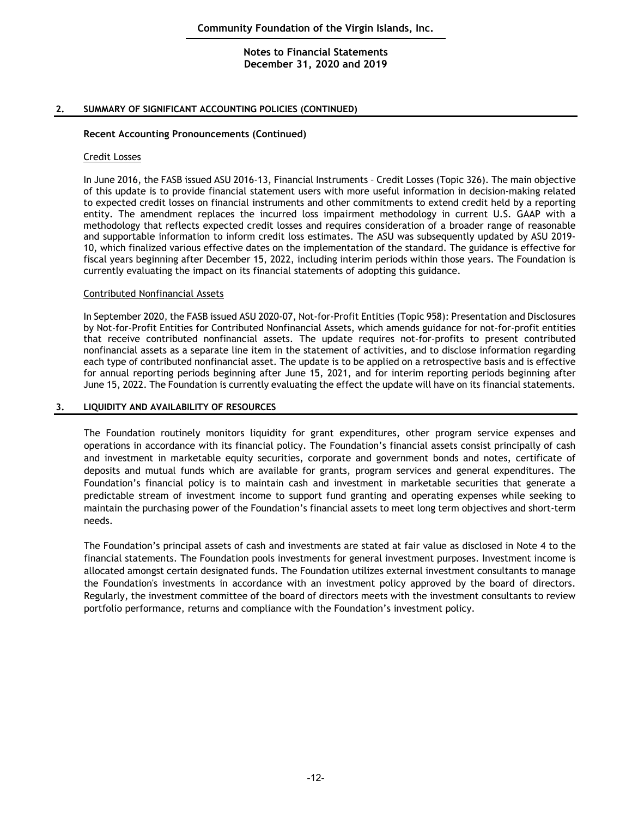# **Community Foundation of the Virgin Islands, Inc.**

#### **Notes to Financial Statements December 31, 2020 and 2019**

# **2. SUMMARY OF SIGNIFICANT ACCOUNTING POLICIES (CONTINUED)**

#### **Recent Accounting Pronouncements (Continued)**

#### Credit Losses

In June 2016, the FASB issued ASU 2016-13, Financial Instruments – Credit Losses (Topic 326). The main objective of this update is to provide financial statement users with more useful information in decision-making related to expected credit losses on financial instruments and other commitments to extend credit held by a reporting entity. The amendment replaces the incurred loss impairment methodology in current U.S. GAAP with a methodology that reflects expected credit losses and requires consideration of a broader range of reasonable and supportable information to inform credit loss estimates. The ASU was subsequently updated by ASU 2019- 10, which finalized various effective dates on the implementation of the standard. The guidance is effective for fiscal years beginning after December 15, 2022, including interim periods within those years. The Foundation is currently evaluating the impact on its financial statements of adopting this guidance.

#### Contributed Nonfinancial Assets

In September 2020, the FASB issued ASU 2020-07, Not-for-Profit Entities (Topic 958): Presentation and Disclosures by Not-for-Profit Entities for Contributed Nonfinancial Assets, which amends guidance for not-for-profit entities that receive contributed nonfinancial assets. The update requires not-for-profits to present contributed nonfinancial assets as a separate line item in the statement of activities, and to disclose information regarding each type of contributed nonfinancial asset. The update is to be applied on a retrospective basis and is effective for annual reporting periods beginning after June 15, 2021, and for interim reporting periods beginning after June 15, 2022. The Foundation is currently evaluating the effect the update will have on its financial statements.

#### **3. LIQUIDITY AND AVAILABILITY OF RESOURCES**

The Foundation routinely monitors liquidity for grant expenditures, other program service expenses and operations in accordance with its financial policy. The Foundation's financial assets consist principally of cash and investment in marketable equity securities, corporate and government bonds and notes, certificate of deposits and mutual funds which are available for grants, program services and general expenditures. The Foundation's financial policy is to maintain cash and investment in marketable securities that generate a predictable stream of investment income to support fund granting and operating expenses while seeking to maintain the purchasing power of the Foundation's financial assets to meet long term objectives and short-term needs.

The Foundation's principal assets of cash and investments are stated at fair value as disclosed in Note 4 to the financial statements. The Foundation pools investments for general investment purposes. Investment income is allocated amongst certain designated funds. The Foundation utilizes external investment consultants to manage the Foundation's investments in accordance with an investment policy approved by the board of directors. Regularly, the investment committee of the board of directors meets with the investment consultants to review portfolio performance, returns and compliance with the Foundation's investment policy.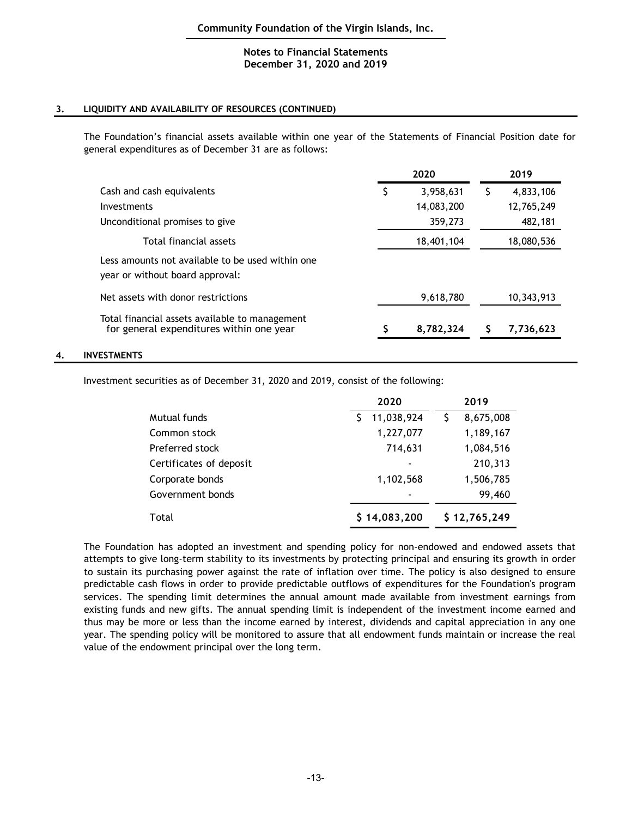# **3. LIQUIDITY AND AVAILABILITY OF RESOURCES (CONTINUED)**

The Foundation's financial assets available within one year of the Statements of Financial Position date for general expenditures as of December 31 are as follows:

|                                                                                            |   | 2020       |   | 2019       |
|--------------------------------------------------------------------------------------------|---|------------|---|------------|
| Cash and cash equivalents                                                                  | Ş | 3,958,631  | S | 4,833,106  |
| Investments                                                                                |   | 14,083,200 |   | 12,765,249 |
| Unconditional promises to give                                                             |   | 359,273    |   | 482,181    |
| Total financial assets                                                                     |   | 18,401,104 |   | 18,080,536 |
| Less amounts not available to be used within one<br>year or without board approval:        |   |            |   |            |
| Net assets with donor restrictions                                                         |   | 9,618,780  |   | 10,343,913 |
| Total financial assets available to management<br>for general expenditures within one year |   | 8,782,324  |   | 7,736,623  |

#### **4. INVESTMENTS**

Investment securities as of December 31, 2020 and 2019, consist of the following:

|                         | 2020                     | 2019         |
|-------------------------|--------------------------|--------------|
| Mutual funds            | 11,038,924               | 8,675,008    |
| Common stock            | 1,227,077                | 1,189,167    |
| Preferred stock         | 714,631                  | 1,084,516    |
| Certificates of deposit |                          | 210,313      |
| Corporate bonds         | 1,102,568                | 1,506,785    |
| Government bonds        | $\overline{\phantom{0}}$ | 99,460       |
| Total                   | \$14,083,200             | \$12,765,249 |

The Foundation has adopted an investment and spending policy for non-endowed and endowed assets that attempts to give long-term stability to its investments by protecting principal and ensuring its growth in order to sustain its purchasing power against the rate of inflation over time. The policy is also designed to ensure predictable cash flows in order to provide predictable outflows of expenditures for the Foundation's program services. The spending limit determines the annual amount made available from investment earnings from existing funds and new gifts. The annual spending limit is independent of the investment income earned and thus may be more or less than the income earned by interest, dividends and capital appreciation in any one year. The spending policy will be monitored to assure that all endowment funds maintain or increase the real value of the endowment principal over the long term.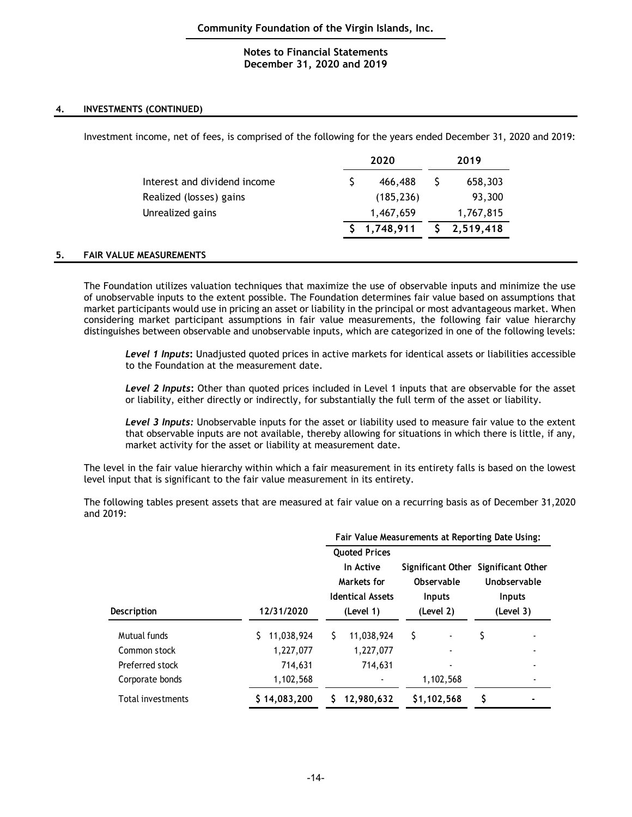# **4. INVESTMENTS (CONTINUED)**

Investment income, net of fees, is comprised of the following for the years ended December 31, 2020 and 2019:

|                              | 2020       | 2019      |
|------------------------------|------------|-----------|
| Interest and dividend income | 466,488    | 658,303   |
| Realized (losses) gains      | (185, 236) | 93,300    |
| Unrealized gains             | 1,467,659  | 1,767,815 |
|                              | 1,748,911  | 2,519,418 |

# **5. FAIR VALUE MEASUREMENTS**

The Foundation utilizes valuation techniques that maximize the use of observable inputs and minimize the use of unobservable inputs to the extent possible. The Foundation determines fair value based on assumptions that market participants would use in pricing an asset or liability in the principal or most advantageous market. When considering market participant assumptions in fair value measurements, the following fair value hierarchy distinguishes between observable and unobservable inputs, which are categorized in one of the following levels:

*Level 1 Inputs***:** Unadjusted quoted prices in active markets for identical assets or liabilities accessible to the Foundation at the measurement date.

*Level 2 Inputs***:** Other than quoted prices included in Level 1 inputs that are observable for the asset or liability, either directly or indirectly, for substantially the full term of the asset or liability.

*Level 3 Inputs:* Unobservable inputs for the asset or liability used to measure fair value to the extent that observable inputs are not available, thereby allowing for situations in which there is little, if any, market activity for the asset or liability at measurement date.

The level in the fair value hierarchy within which a fair measurement in its entirety falls is based on the lowest level input that is significant to the fair value measurement in its entirety.

The following tables present assets that are measured at fair value on a recurring basis as of December 31,2020 and 2019:

|                    |                 |   | Fair Value Measurements at Reporting Date Using:    |   |                             |                                                                      |
|--------------------|-----------------|---|-----------------------------------------------------|---|-----------------------------|----------------------------------------------------------------------|
|                    |                 |   | <b>Quoted Prices</b>                                |   |                             |                                                                      |
|                    |                 |   | In Active<br>Markets for<br><b>Identical Assets</b> |   | Observable<br><b>Inputs</b> | Significant Other Significant Other<br>Unobservable<br><b>Inputs</b> |
| <b>Description</b> | 12/31/2020      |   | (Level 1)                                           |   | (Level 2)                   | (Level 3)                                                            |
| Mutual funds       | 11,038,924<br>S | S | 11,038,924                                          | S |                             |                                                                      |
| Common stock       | 1,227,077       |   | 1,227,077                                           |   |                             |                                                                      |
| Preferred stock    | 714,631         |   | 714,631                                             |   |                             |                                                                      |
| Corporate bonds    | 1,102,568       |   |                                                     |   | 1,102,568                   |                                                                      |
| Total investments  | \$14,083,200    |   | 12,980,632                                          |   | \$1,102,568                 |                                                                      |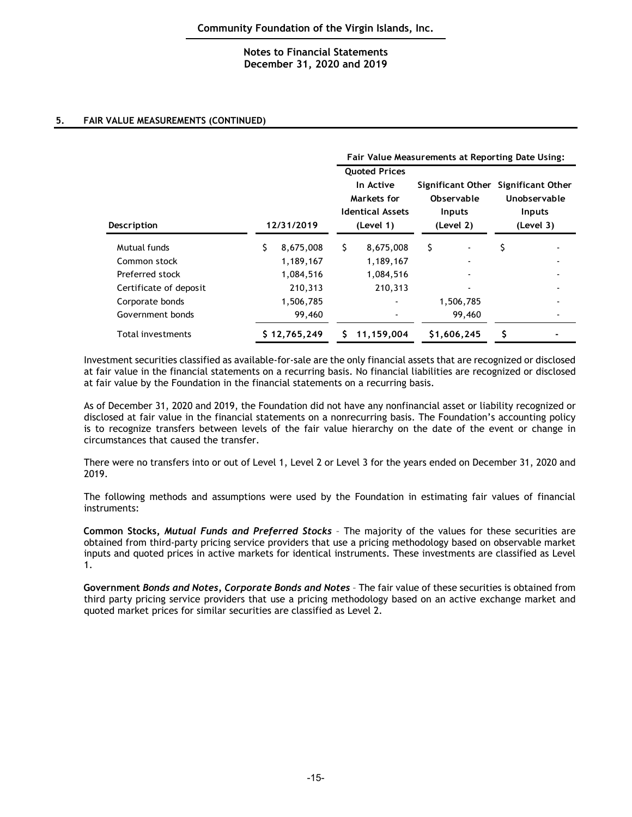# **5. FAIR VALUE MEASUREMENTS (CONTINUED)**

|                        |              |    | Fair Value Measurements at Reporting Date Using: |             |   |                                     |
|------------------------|--------------|----|--------------------------------------------------|-------------|---|-------------------------------------|
|                        |              |    | <b>Quoted Prices</b>                             |             |   |                                     |
|                        |              |    | In Active                                        |             |   | Significant Other Significant Other |
|                        |              |    | Markets for                                      | Observable  |   | Unobservable                        |
|                        |              |    | <b>Identical Assets</b>                          | Inputs      |   | Inputs                              |
| Description            | 12/31/2019   |    | (Level 1)                                        | (Level 2)   |   | (Level 3)                           |
| Mutual funds           | 8,675,008    | S. | 8,675,008                                        | \$          | S |                                     |
| Common stock           | 1,189,167    |    | 1,189,167                                        |             |   |                                     |
| Preferred stock        | 1,084,516    |    | 1,084,516                                        |             |   |                                     |
| Certificate of deposit | 210,313      |    | 210,313                                          |             |   |                                     |
| Corporate bonds        | 1,506,785    |    |                                                  | 1,506,785   |   |                                     |
| Government bonds       | 99,460       |    |                                                  | 99,460      |   |                                     |
| Total investments      | \$12,765,249 |    | 11,159,004                                       | \$1,606,245 |   |                                     |

Investment securities classified as available-for-sale are the only financial assets that are recognized or disclosed at fair value in the financial statements on a recurring basis. No financial liabilities are recognized or disclosed at fair value by the Foundation in the financial statements on a recurring basis.

As of December 31, 2020 and 2019, the Foundation did not have any nonfinancial asset or liability recognized or disclosed at fair value in the financial statements on a nonrecurring basis. The Foundation's accounting policy is to recognize transfers between levels of the fair value hierarchy on the date of the event or change in circumstances that caused the transfer.

There were no transfers into or out of Level 1, Level 2 or Level 3 for the years ended on December 31, 2020 and 2019.

The following methods and assumptions were used by the Foundation in estimating fair values of financial instruments:

 **Common Stocks,** *Mutual Funds and Preferred Stocks* – The majority of the values for these securities are obtained from third-party pricing service providers that use a pricing methodology based on observable market inputs and quoted prices in active markets for identical instruments. These investments are classified as Level 1.

 **Government** *Bonds and Notes, Corporate Bonds and Notes* – The fair value of these securities is obtained from third party pricing service providers that use a pricing methodology based on an active exchange market and quoted market prices for similar securities are classified as Level 2.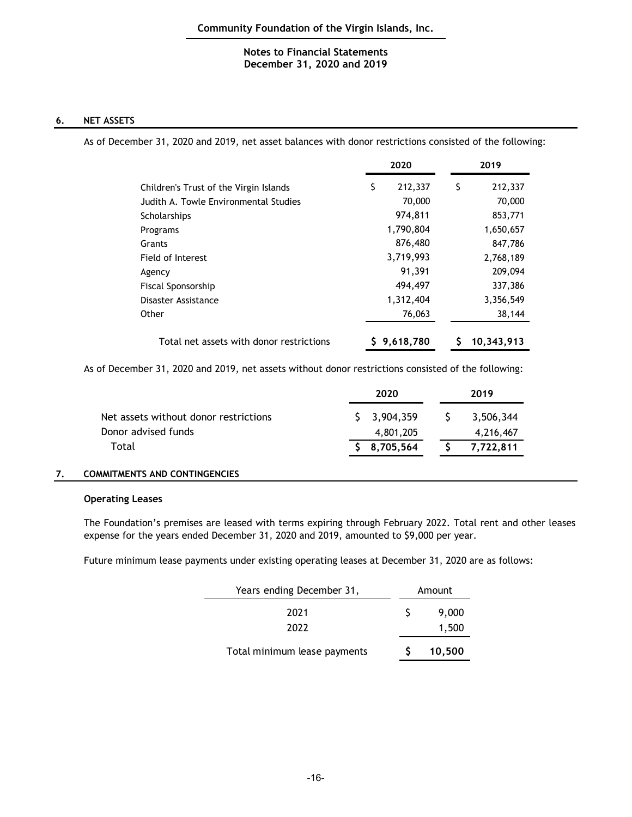# **6. NET ASSETS**

As of December 31, 2020 and 2019, net asset balances with donor restrictions consisted of the following:

|                                          | 2020          |   | 2019       |
|------------------------------------------|---------------|---|------------|
| Children's Trust of the Virgin Islands   | \$<br>212,337 | S | 212,337    |
| Judith A. Towle Environmental Studies    | 70,000        |   | 70,000     |
| Scholarships                             | 974,811       |   | 853,771    |
| Programs                                 | 1,790,804     |   | 1,650,657  |
| Grants                                   | 876,480       |   | 847,786    |
| Field of Interest                        | 3,719,993     |   | 2,768,189  |
| Agency                                   | 91,391        |   | 209,094    |
| Fiscal Sponsorship                       | 494,497       |   | 337,386    |
| Disaster Assistance                      | 1,312,404     |   | 3,356,549  |
| Other                                    | 76,063        |   | 38,144     |
| Total net assets with donor restrictions | 9,618,780     |   | 10,343,913 |

As of December 31, 2020 and 2019, net assets without donor restrictions consisted of the following:

|                                       | 2020         | 2019 |           |  |
|---------------------------------------|--------------|------|-----------|--|
| Net assets without donor restrictions | 5, 3,904,359 |      | 3,506,344 |  |
| Donor advised funds                   | 4,801,205    |      | 4,216,467 |  |
| Total                                 | \$8,705,564  |      | 7,722,811 |  |
|                                       |              |      |           |  |

#### **7. COMMITMENTS AND CONTINGENCIES**

#### **Operating Leases**

The Foundation's premises are leased with terms expiring through February 2022. Total rent and other leases expense for the years ended December 31, 2020 and 2019, amounted to \$9,000 per year.

Future minimum lease payments under existing operating leases at December 31, 2020 are as follows:

| Years ending December 31,    |  | Amount |  |  |  |
|------------------------------|--|--------|--|--|--|
| 2021                         |  | 9,000  |  |  |  |
| 2022                         |  | 1,500  |  |  |  |
| Total minimum lease payments |  | 10,500 |  |  |  |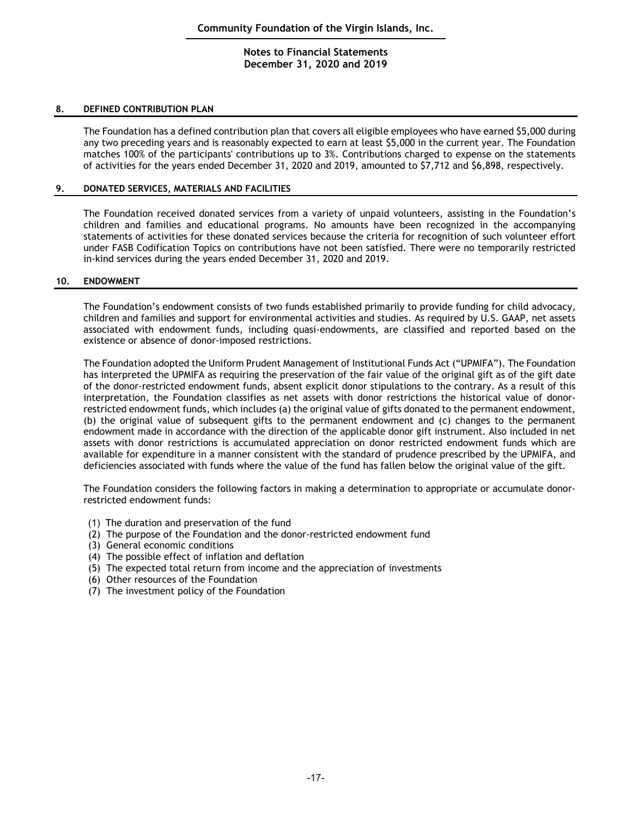# **8. DEFINED CONTRIBUTION PLAN**

The Foundation has a defined contribution plan that covers all eligible employees who have earned \$5,000 during any two preceding years and is reasonably expected to earn at least \$5,000 in the current year. The Foundation matches 100% of the participants' contributions up to 3%. Contributions charged to expense on the statements of activities for the years ended December 31, 2020 and 2019, amounted to \$7,712 and \$6,898, respectively.

# **9. DONATED SERVICES, MATERIALS AND FACILITIES**

The Foundation received donated services from a variety of unpaid volunteers, assisting in the Foundation's children and families and educational programs. No amounts have been recognized in the accompanying statements of activities for these donated services because the criteria for recognition of such volunteer effort under FASB Codification Topics on contributions have not been satisfied. There were no temporarily restricted in-kind services during the years ended December 31, 2020 and 2019.

#### **10. ENDOWMENT**

The Foundation's endowment consists of two funds established primarily to provide funding for child advocacy, children and families and support for environmental activities and studies. As required by U.S. GAAP, net assets associated with endowment funds, including quasi-endowments, are classified and reported based on the existence or absence of donor-imposed restrictions.

The Foundation adopted the Uniform Prudent Management of Institutional Funds Act ("UPMIFA"). The Foundation has interpreted the UPMIFA as requiring the preservation of the fair value of the original gift as of the gift date of the donor-restricted endowment funds, absent explicit donor stipulations to the contrary. As a result of this interpretation, the Foundation classifies as net assets with donor restrictions the historical value of donorrestricted endowment funds, which includes (a) the original value of gifts donated to the permanent endowment, (b) the original value of subsequent gifts to the permanent endowment and (c) changes to the permanent endowment made in accordance with the direction of the applicable donor gift instrument. Also included in net assets with donor restrictions is accumulated appreciation on donor restricted endowment funds which are available for expenditure in a manner consistent with the standard of prudence prescribed by the UPMIFA, and deficiencies associated with funds where the value of the fund has fallen below the original value of the gift.

The Foundation considers the following factors in making a determination to appropriate or accumulate donorrestricted endowment funds:

- (1) The duration and preservation of the fund
- (2) The purpose of the Foundation and the donor-restricted endowment fund
- (3) General economic conditions
- (4) The possible effect of inflation and deflation
- (5) The expected total return from income and the appreciation of investments
- (6) Other resources of the Foundation
- (7) The investment policy of the Foundation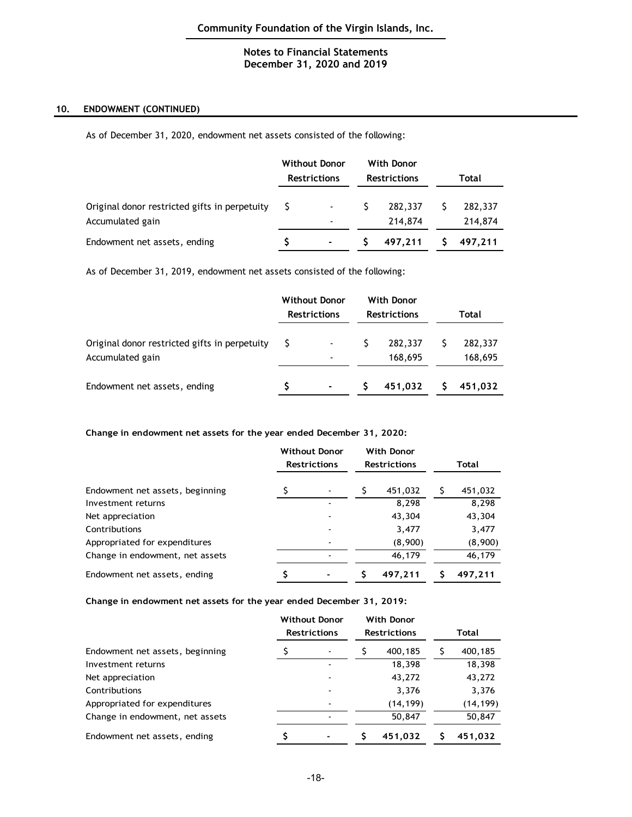#### **10. ENDOWMENT (CONTINUED)**

As of December 31, 2020, endowment net assets consisted of the following:

| Original donor restricted gifts in perpetuity<br>S.<br>Accumulated gain |  | <b>Without Donor</b><br><b>Restrictions</b> | <b>With Donor</b><br><b>Restrictions</b> |                    | Total |                    |  |
|-------------------------------------------------------------------------|--|---------------------------------------------|------------------------------------------|--------------------|-------|--------------------|--|
|                                                                         |  | $\blacksquare$                              | S.                                       | 282,337<br>214,874 |       | 282,337<br>214,874 |  |
| Endowment net assets, ending                                            |  | $\blacksquare$                              |                                          | 497,211            | S.    | 497.211            |  |

As of December 31, 2019, endowment net assets consisted of the following:

|                                                                   |     | <b>Without Donor</b><br><b>With Donor</b><br><b>Restrictions</b><br><b>Restrictions</b> |    | Total              |                    |
|-------------------------------------------------------------------|-----|-----------------------------------------------------------------------------------------|----|--------------------|--------------------|
| Original donor restricted gifts in perpetuity<br>Accumulated gain | S   |                                                                                         |    | 282,337<br>168,695 | 282,337<br>168,695 |
| Endowment net assets, ending                                      | \$. | $\blacksquare$                                                                          | S. | 451,032            | 451,032            |

#### **Change in endowment net assets for the year ended December 31, 2020:**

|                                 | <b>Without Donor</b><br><b>Restrictions</b> |                | <b>With Donor</b><br><b>Restrictions</b> |         | Total |         |
|---------------------------------|---------------------------------------------|----------------|------------------------------------------|---------|-------|---------|
| Endowment net assets, beginning |                                             |                | S                                        | 451,032 |       | 451,032 |
| Investment returns              |                                             |                |                                          | 8,298   |       | 8,298   |
| Net appreciation                |                                             |                |                                          | 43,304  |       | 43,304  |
| Contributions                   |                                             |                |                                          | 3,477   |       | 3,477   |
| Appropriated for expenditures   |                                             |                |                                          | (8,900) |       | (8,900) |
| Change in endowment, net assets |                                             | $\blacksquare$ |                                          | 46,179  |       | 46,179  |
| Endowment net assets, ending    |                                             |                |                                          | 497,211 |       | 497,211 |

**Change in endowment net assets for the year ended December 31, 2019:**

|                                 |   | <b>Without Donor</b><br><b>Restrictions</b> |  | <b>With Donor</b><br><b>Restrictions</b> |   | Total     |  |
|---------------------------------|---|---------------------------------------------|--|------------------------------------------|---|-----------|--|
| Endowment net assets, beginning | S |                                             |  | 400,185                                  | s | 400,185   |  |
| Investment returns              |   |                                             |  | 18,398                                   |   | 18,398    |  |
| Net appreciation                |   |                                             |  | 43,272                                   |   | 43,272    |  |
| Contributions                   |   |                                             |  | 3,376                                    |   | 3,376     |  |
| Appropriated for expenditures   |   | $\overline{\phantom{a}}$                    |  | (14, 199)                                |   | (14, 199) |  |
| Change in endowment, net assets |   |                                             |  | 50,847                                   |   | 50,847    |  |
| Endowment net assets, ending    |   |                                             |  | 451,032                                  |   | 451,032   |  |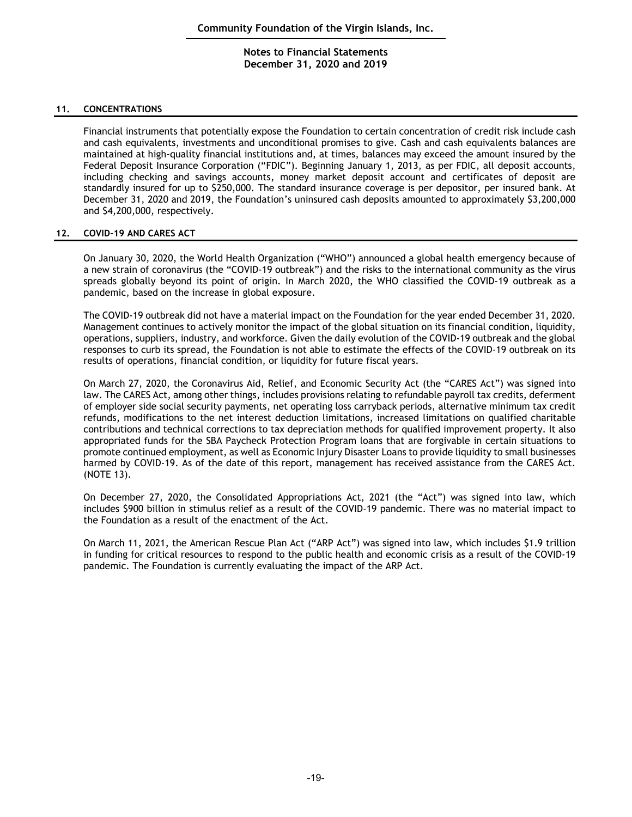# **11. CONCENTRATIONS**

Financial instruments that potentially expose the Foundation to certain concentration of credit risk include cash and cash equivalents, investments and unconditional promises to give. Cash and cash equivalents balances are maintained at high-quality financial institutions and, at times, balances may exceed the amount insured by the Federal Deposit Insurance Corporation ("FDIC"). Beginning January 1, 2013, as per FDIC, all deposit accounts, including checking and savings accounts, money market deposit account and certificates of deposit are standardly insured for up to \$250,000. The standard insurance coverage is per depositor, per insured bank. At December 31, 2020 and 2019, the Foundation's uninsured cash deposits amounted to approximately \$3,200,000 and \$4,200,000, respectively.

#### **12. COVID-19 AND CARES ACT**

On January 30, 2020, the World Health Organization ("WHO") announced a global health emergency because of a new strain of coronavirus (the "COVID-19 outbreak") and the risks to the international community as the virus spreads globally beyond its point of origin. In March 2020, the WHO classified the COVID-19 outbreak as a pandemic, based on the increase in global exposure.

The COVID-19 outbreak did not have a material impact on the Foundation for the year ended December 31, 2020. Management continues to actively monitor the impact of the global situation on its financial condition, liquidity, operations, suppliers, industry, and workforce. Given the daily evolution of the COVID-19 outbreak and the global responses to curb its spread, the Foundation is not able to estimate the effects of the COVID-19 outbreak on its results of operations, financial condition, or liquidity for future fiscal years.

On March 27, 2020, the Coronavirus Aid, Relief, and Economic Security Act (the "CARES Act") was signed into law. The CARES Act, among other things, includes provisions relating to refundable payroll tax credits, deferment of employer side social security payments, net operating loss carryback periods, alternative minimum tax credit refunds, modifications to the net interest deduction limitations, increased limitations on qualified charitable contributions and technical corrections to tax depreciation methods for qualified improvement property. It also appropriated funds for the SBA Paycheck Protection Program loans that are forgivable in certain situations to promote continued employment, as well as Economic Injury Disaster Loans to provide liquidity to small businesses harmed by COVID-19. As of the date of this report, management has received assistance from the CARES Act. (NOTE 13).

On December 27, 2020, the Consolidated Appropriations Act, 2021 (the "Act") was signed into law, which includes \$900 billion in stimulus relief as a result of the COVID-19 pandemic. There was no material impact to the Foundation as a result of the enactment of the Act.

On March 11, 2021, the American Rescue Plan Act ("ARP Act") was signed into law, which includes \$1.9 trillion in funding for critical resources to respond to the public health and economic crisis as a result of the COVID-19 pandemic. The Foundation is currently evaluating the impact of the ARP Act.